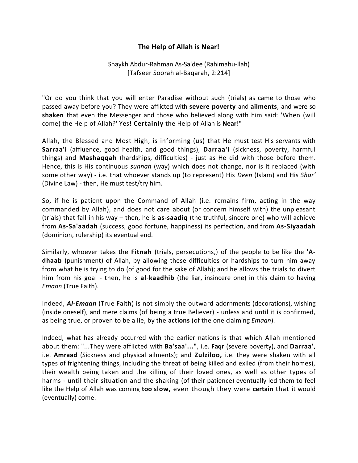## **The Help of Allah is Near!**

## Shaykh Abdur-Rahman As-Sa'dee (Rahimahu-llah) [Tafseer Soorah al-Baqarah, 2:214]

"Or do you think that you will enter Paradise without such (trials) as came to those who passed away before you? They were afflicted with **severe poverty** and **ailments**, and were so **shaken** that even the Messenger and those who believed along with him said: 'When (will come) the Help of Allah?' Yes! **Certainly** the Help of Allah is **Near**!"

Allah, the Blessed and Most High, is informing (us) that He must test His servants with **Sarraa'i** (affluence, good health, and good things), **Darraa'i** (sickness, poverty, harmful things) and **Mashaqqah** (hardships, difficulties) - just as He did with those before them. Hence, this is His continuous *sunnah* (way) which does not change, nor is it replaced (with some other way) - i.e. that whoever stands up (to represent) His *Deen* (Islam) and His *Shar'* (Divine Law) - then, He must test/try him.

So, if he is patient upon the Command of Allah (i.e. remains firm, acting in the way commanded by Allah), and does not care about (or concern himself with) the unpleasant (trials) that fall in his way – then, he is **as-saadiq** (the truthful, sincere one) who will achieve from **As-Sa'aadah** (success, good fortune, happiness) its perfection, and from **As-Siyaadah** (dominion, rulership) its eventual end.

Similarly, whoever takes the **Fitnah** (trials, persecutions,) of the people to be like the **'Adhaab** (punishment) of Allah, by allowing these difficulties or hardships to turn him away from what he is trying to do (of good for the sake of Allah); and he allows the trials to divert him from his goal - then, he is **al**-**kaadhib** (the liar, insincere one) in this claim to having *Emaan* (True Faith).

Indeed, *Al-Emaan* (True Faith) is not simply the outward adornments (decorations), wishing (inside oneself), and mere claims (of being a true Believer) - unless and until it is confirmed, as being true, or proven to be a lie, by the **actions** (of the one claiming *Emaan*).

Indeed, what has already occurred with the earlier nations is that which Allah mentioned about them: "...They were afflicted with **Ba'saa'...**", i.e. **Faqr** (severe poverty), and **Darraa'**, i.e. **Amraad** (Sickness and physical ailments); and **Zulziloo,** i.e. they were shaken with all types of frightening things, including the threat of being killed and exiled (from their homes), their wealth being taken and the killing of their loved ones, as well as other types of harms - until their situation and the shaking (of their patience) eventually led them to feel like the Help of Allah was coming **too slow,** even though they were **certain** that it would (eventually) come.